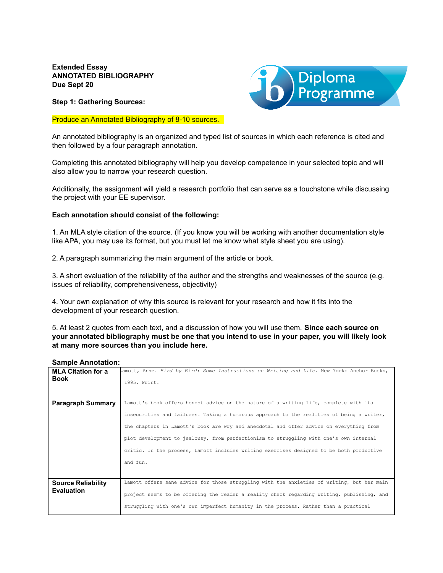**Extended Essay ANNOTATED BIBLIOGRAPHY Due Sept 20**

**Step 1: Gathering Sources:**

## Produce an Annotated Bibliography of 8-10 sources.



An annotated bibliography is an organized and typed list of sources in which each reference is cited and then followed by a four paragraph annotation.

Completing this annotated bibliography will help you develop competence in your selected topic and will also allow you to narrow your research question.

Additionally, the assignment will yield a research portfolio that can serve as a touchstone while discussing the project with your EE supervisor.

## **Each annotation should consist of the following:**

1. An MLA style citation of the source. (If you know you will be working with another documentation style like APA, you may use its format, but you must let me know what style sheet you are using).

2. A paragraph summarizing the main argument of the article or book.

3. A short evaluation of the reliability of the author and the strengths and weaknesses of the source (e.g. issues of reliability, comprehensiveness, objectivity)

4. Your own explanation of why this source is relevant for your research and how it fits into the development of your research question.

5. At least 2 quotes from each text, and a discussion of how you will use them. **Since each source on your annotated bibliography must be one that you intend to use in your paper, you will likely look at many more sources than you include here.**

## **Sample Annotation:**

| <b>MLA Citation for a</b> | amott, Anne. Bird by Bird: Some Instructions on Writing and Life. New York: Anchor Books,  |
|---------------------------|--------------------------------------------------------------------------------------------|
| <b>Book</b>               | 1995. Print.                                                                               |
|                           |                                                                                            |
|                           |                                                                                            |
| <b>Paragraph Summary</b>  | Lamott's book offers honest advice on the nature of a writing life, complete with its      |
|                           | insecurities and failures. Taking a humorous approach to the realities of being a writer,  |
|                           | the chapters in Lamott's book are wry and anecdotal and offer advice on everything from    |
|                           | plot development to jealousy, from perfectionism to struggling with one's own internal     |
|                           | critic. In the process, Lamott includes writing exercises designed to be both productive   |
|                           | and fun.                                                                                   |
|                           |                                                                                            |
| <b>Source Reliability</b> | Lamott offers sane advice for those struggling with the anxieties of writing, but her main |
| <b>Evaluation</b>         | project seems to be offering the reader a reality check regarding writing, publishing, and |
|                           | struggling with one's own imperfect humanity in the process. Rather than a practical       |